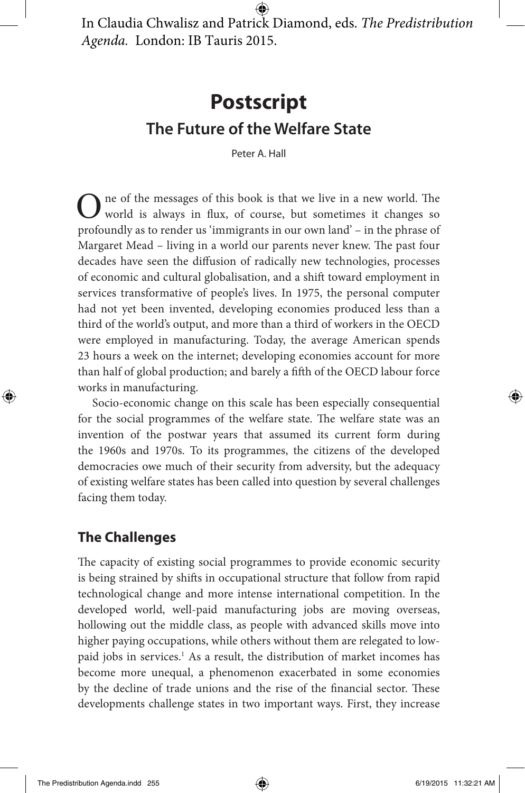In Claudia Chwalisz and Patrick Diamond, eds. *The Predistribution Agenda.* London: IB Tauris 2015.

# **Postscript The Future of the Welfare State**

Peter A. Hall

ne of the messages of this book is that we live in a new world. The world is always in flux, of course, but sometimes it changes so profoundly as to render us 'immigrants in our own land' – in the phrase of Margaret Mead – living in a world our parents never knew. The past four decades have seen the diffusion of radically new technologies, processes of economic and cultural globalisation, and a shift toward employment in services transformative of people's lives. In 1975, the personal computer had not yet been invented, developing economies produced less than a third of the world's output, and more than a third of workers in the OECD were employed in manufacturing. Today, the average American spends 23 hours a week on the internet; developing economies account for more than half of global production; and barely a fifth of the OECD labour force works in manufacturing.

Socio-economic change on this scale has been especially consequential for the social programmes of the welfare state. The welfare state was an invention of the postwar years that assumed its current form during the 1960s and 1970s. To its programmes, the citizens of the developed democracies owe much of their security from adversity, but the adequacy of existing welfare states has been called into question by several challenges facing them today.

## **The Challenges**

⊕

The capacity of existing social programmes to provide economic security is being strained by shifts in occupational structure that follow from rapid technological change and more intense international competition. In the developed world, well-paid manufacturing jobs are moving overseas, hollowing out the middle class, as people with advanced skills move into higher paying occupations, while others without them are relegated to lowpaid jobs in services.<sup>1</sup> As a result, the distribution of market incomes has become more unequal, a phenomenon exacerbated in some economies by the decline of trade unions and the rise of the financial sector. These developments challenge states in two important ways. First, they increase

The Predistribution Agenda.indd 255 6/19/2015 11:32:21 AM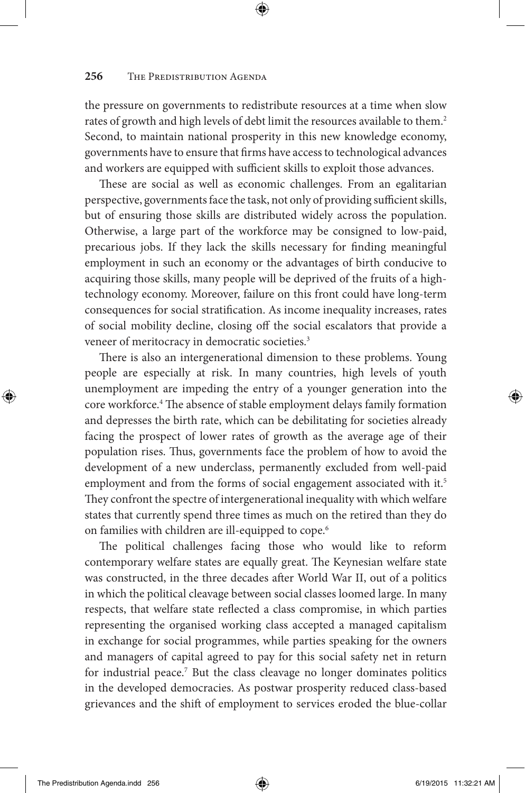the pressure on governments to redistribute resources at a time when slow rates of growth and high levels of debt limit the resources available to them.<sup>2</sup> Second, to maintain national prosperity in this new knowledge economy, governments have to ensure that firms have access to technological advances and workers are equipped with sufficient skills to exploit those advances.

These are social as well as economic challenges. From an egalitarian perspective, governments face the task, not only of providing sufficient skills, but of ensuring those skills are distributed widely across the population. Otherwise, a large part of the workforce may be consigned to low-paid, precarious jobs. If they lack the skills necessary for finding meaningful employment in such an economy or the advantages of birth conducive to acquiring those skills, many people will be deprived of the fruits of a hightechnology economy. Moreover, failure on this front could have long-term consequences for social stratification. As income inequality increases, rates of social mobility decline, closing off the social escalators that provide a veneer of meritocracy in democratic societies.<sup>3</sup>

There is also an intergenerational dimension to these problems. Young people are especially at risk. In many countries, high levels of youth unemployment are impeding the entry of a younger generation into the core workforce.4 The absence of stable employment delays family formation and depresses the birth rate, which can be debilitating for societies already facing the prospect of lower rates of growth as the average age of their population rises. Thus, governments face the problem of how to avoid the development of a new underclass, permanently excluded from well-paid employment and from the forms of social engagement associated with it.<sup>5</sup> They confront the spectre of intergenerational inequality with which welfare states that currently spend three times as much on the retired than they do on families with children are ill-equipped to cope.<sup>6</sup>

The political challenges facing those who would like to reform contemporary welfare states are equally great. The Keynesian welfare state was constructed, in the three decades after World War II, out of a politics in which the political cleavage between social classes loomed large. In many respects, that welfare state reflected a class compromise, in which parties representing the organised working class accepted a managed capitalism in exchange for social programmes, while parties speaking for the owners and managers of capital agreed to pay for this social safety net in return for industrial peace.<sup>7</sup> But the class cleavage no longer dominates politics in the developed democracies. As postwar prosperity reduced class-based grievances and the shift of employment to services eroded the blue-collar

The Predistribution Agenda.indd 256 6/19/2015 11:32:21 AM

◈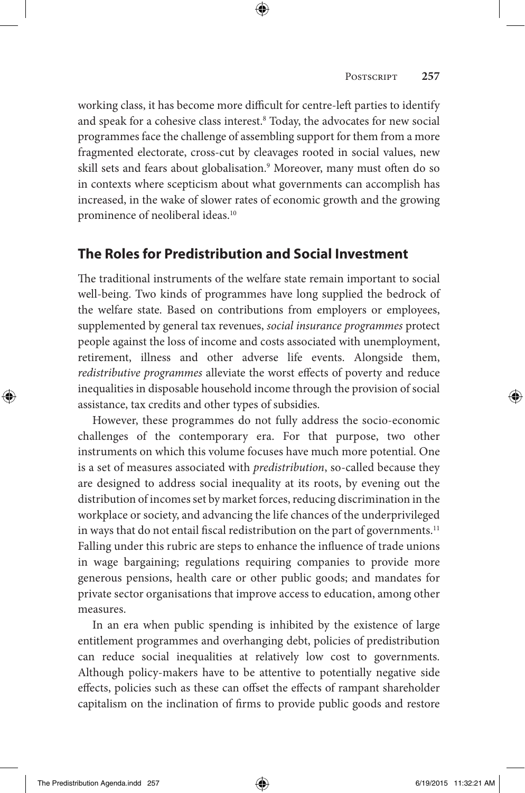working class, it has become more difficult for centre-left parties to identify and speak for a cohesive class interest.8 Today, the advocates for new social programmes face the challenge of assembling support for them from a more fragmented electorate, cross-cut by cleavages rooted in social values, new skill sets and fears about globalisation.9 Moreover, many must often do so in contexts where scepticism about what governments can accomplish has increased, in the wake of slower rates of economic growth and the growing prominence of neoliberal ideas.<sup>10</sup>

⊕

# **The Roles for Predistribution and Social Investment**

The traditional instruments of the welfare state remain important to social well-being. Two kinds of programmes have long supplied the bedrock of the welfare state. Based on contributions from employers or employees, supplemented by general tax revenues, *social insurance programmes* protect people against the loss of income and costs associated with unemployment, retirement, illness and other adverse life events. Alongside them, *redistributive programmes* alleviate the worst effects of poverty and reduce inequalities in disposable household income through the provision of social assistance, tax credits and other types of subsidies.

However, these programmes do not fully address the socio-economic challenges of the contemporary era. For that purpose, two other instruments on which this volume focuses have much more potential. One is a set of measures associated with *predistribution*, so-called because they are designed to address social inequality at its roots, by evening out the distribution of incomes set by market forces, reducing discrimination in the workplace or society, and advancing the life chances of the underprivileged in ways that do not entail fiscal redistribution on the part of governments.<sup>11</sup> Falling under this rubric are steps to enhance the influence of trade unions in wage bargaining; regulations requiring companies to provide more generous pensions, health care or other public goods; and mandates for private sector organisations that improve access to education, among other measures.

In an era when public spending is inhibited by the existence of large entitlement programmes and overhanging debt, policies of predistribution can reduce social inequalities at relatively low cost to governments. Although policy-makers have to be attentive to potentially negative side effects, policies such as these can offset the effects of rampant shareholder capitalism on the inclination of firms to provide public goods and restore

◈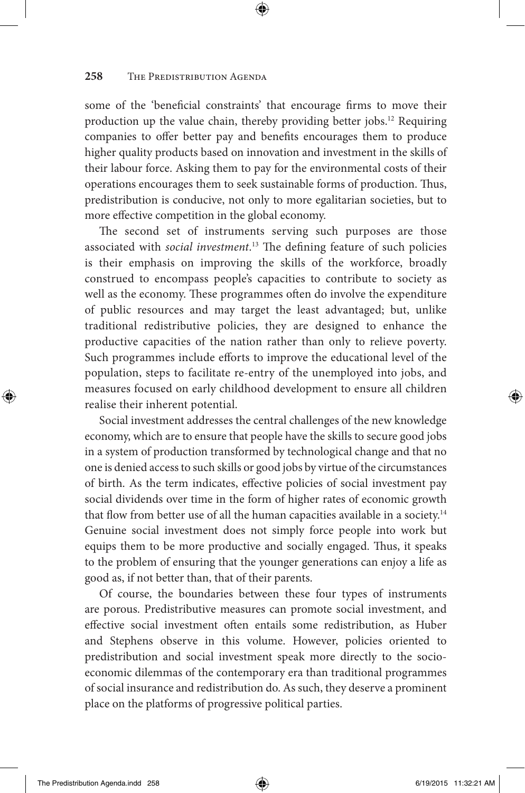some of the 'beneficial constraints' that encourage firms to move their production up the value chain, thereby providing better jobs.12 Requiring companies to offer better pay and benefits encourages them to produce higher quality products based on innovation and investment in the skills of their labour force. Asking them to pay for the environmental costs of their operations encourages them to seek sustainable forms of production. Thus, predistribution is conducive, not only to more egalitarian societies, but to more effective competition in the global economy.

The second set of instruments serving such purposes are those associated with *social investment*. 13 The defining feature of such policies is their emphasis on improving the skills of the workforce, broadly construed to encompass people's capacities to contribute to society as well as the economy. These programmes often do involve the expenditure of public resources and may target the least advantaged; but, unlike traditional redistributive policies, they are designed to enhance the productive capacities of the nation rather than only to relieve poverty. Such programmes include efforts to improve the educational level of the population, steps to facilitate re-entry of the unemployed into jobs, and measures focused on early childhood development to ensure all children realise their inherent potential.

Social investment addresses the central challenges of the new knowledge economy, which are to ensure that people have the skills to secure good jobs in a system of production transformed by technological change and that no one is denied access to such skills or good jobs by virtue of the circumstances of birth. As the term indicates, effective policies of social investment pay social dividends over time in the form of higher rates of economic growth that flow from better use of all the human capacities available in a society.<sup>14</sup> Genuine social investment does not simply force people into work but equips them to be more productive and socially engaged. Thus, it speaks to the problem of ensuring that the younger generations can enjoy a life as good as, if not better than, that of their parents.

Of course, the boundaries between these four types of instruments are porous. Predistributive measures can promote social investment, and effective social investment often entails some redistribution, as Huber and Stephens observe in this volume. However, policies oriented to predistribution and social investment speak more directly to the socioeconomic dilemmas of the contemporary era than traditional programmes of social insurance and redistribution do. As such, they deserve a prominent place on the platforms of progressive political parties.

The Predistribution Agenda.indd 258 6/19/2015 11:32:21 AM

◈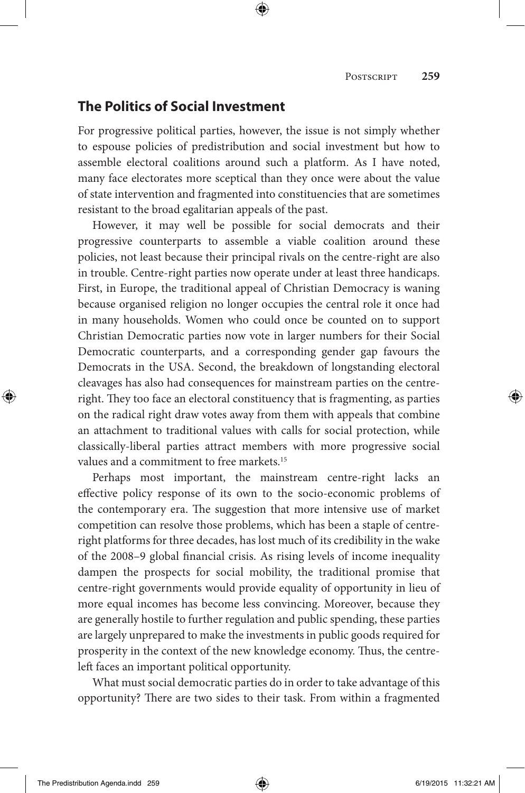## **The Politics of Social Investment**

For progressive political parties, however, the issue is not simply whether to espouse policies of predistribution and social investment but how to assemble electoral coalitions around such a platform. As I have noted, many face electorates more sceptical than they once were about the value of state intervention and fragmented into constituencies that are sometimes resistant to the broad egalitarian appeals of the past.

⊕

However, it may well be possible for social democrats and their progressive counterparts to assemble a viable coalition around these policies, not least because their principal rivals on the centre-right are also in trouble. Centre-right parties now operate under at least three handicaps. First, in Europe, the traditional appeal of Christian Democracy is waning because organised religion no longer occupies the central role it once had in many households. Women who could once be counted on to support Christian Democratic parties now vote in larger numbers for their Social Democratic counterparts, and a corresponding gender gap favours the Democrats in the USA. Second, the breakdown of longstanding electoral cleavages has also had consequences for mainstream parties on the centreright. They too face an electoral constituency that is fragmenting, as parties on the radical right draw votes away from them with appeals that combine an attachment to traditional values with calls for social protection, while classically-liberal parties attract members with more progressive social values and a commitment to free markets.<sup>15</sup>

Perhaps most important, the mainstream centre-right lacks an effective policy response of its own to the socio-economic problems of the contemporary era. The suggestion that more intensive use of market competition can resolve those problems, which has been a staple of centreright platforms for three decades, has lost much of its credibility in the wake of the 2008–9 global financial crisis. As rising levels of income inequality dampen the prospects for social mobility, the traditional promise that centre-right governments would provide equality of opportunity in lieu of more equal incomes has become less convincing. Moreover, because they are generally hostile to further regulation and public spending, these parties are largely unprepared to make the investments in public goods required for prosperity in the context of the new knowledge economy. Thus, the centreleft faces an important political opportunity.

What must social democratic parties do in order to take advantage of this opportunity? There are two sides to their task. From within a fragmented

The Predistribution Agenda.indd 259 6/19/2015 11:32:21 AM

◈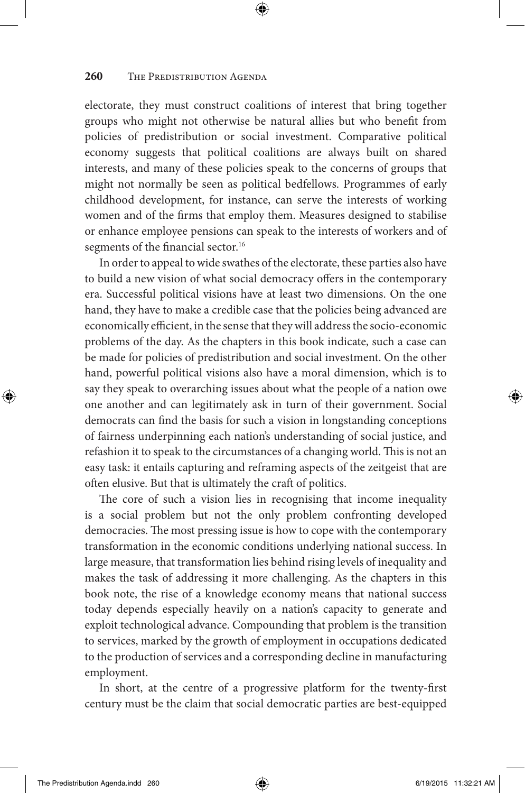electorate, they must construct coalitions of interest that bring together groups who might not otherwise be natural allies but who benefit from policies of predistribution or social investment. Comparative political economy suggests that political coalitions are always built on shared interests, and many of these policies speak to the concerns of groups that might not normally be seen as political bedfellows. Programmes of early childhood development, for instance, can serve the interests of working women and of the firms that employ them. Measures designed to stabilise or enhance employee pensions can speak to the interests of workers and of segments of the financial sector.<sup>16</sup>

In order to appeal to wide swathes of the electorate, these parties also have to build a new vision of what social democracy offers in the contemporary era. Successful political visions have at least two dimensions. On the one hand, they have to make a credible case that the policies being advanced are economically efficient, in the sense that they will address the socio-economic problems of the day. As the chapters in this book indicate, such a case can be made for policies of predistribution and social investment. On the other hand, powerful political visions also have a moral dimension, which is to say they speak to overarching issues about what the people of a nation owe one another and can legitimately ask in turn of their government. Social democrats can find the basis for such a vision in longstanding conceptions of fairness underpinning each nation's understanding of social justice, and refashion it to speak to the circumstances of a changing world. This is not an easy task: it entails capturing and reframing aspects of the zeitgeist that are often elusive. But that is ultimately the craft of politics.

The core of such a vision lies in recognising that income inequality is a social problem but not the only problem confronting developed democracies. The most pressing issue is how to cope with the contemporary transformation in the economic conditions underlying national success. In large measure, that transformation lies behind rising levels of inequality and makes the task of addressing it more challenging. As the chapters in this book note, the rise of a knowledge economy means that national success today depends especially heavily on a nation's capacity to generate and exploit technological advance. Compounding that problem is the transition to services, marked by the growth of employment in occupations dedicated to the production of services and a corresponding decline in manufacturing employment.

In short, at the centre of a progressive platform for the twenty-first century must be the claim that social democratic parties are best-equipped

The Predistribution Agenda.indd 260 6/19/2015 11:32:21 AM

◈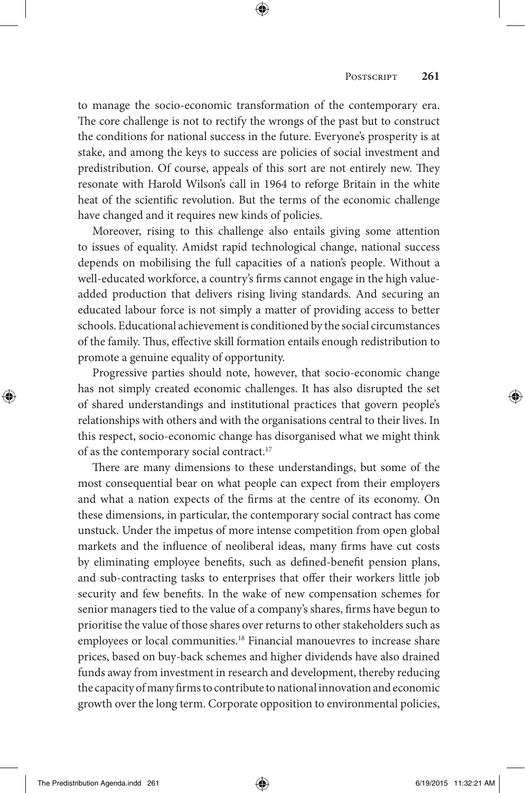to manage the socio-economic transformation of the contemporary era. The core challenge is not to rectify the wrongs of the past but to construct the conditions for national success in the future. Everyone's prosperity is at stake, and among the keys to success are policies of social investment and predistribution. Of course, appeals of this sort are not entirely new. They resonate with Harold Wilson's call in 1964 to reforge Britain in the white heat of the scientific revolution. But the terms of the economic challenge have changed and it requires new kinds of policies.

Moreover, rising to this challenge also entails giving some attention to issues of equality. Amidst rapid technological change, national success depends on mobilising the full capacities of a nation's people. Without a well-educated workforce, a country's firms cannot engage in the high valueadded production that delivers rising living standards. And securing an educated labour force is not simply a matter of providing access to better schools. Educational achievement is conditioned by the social circumstances of the family. Thus, effective skill formation entails enough redistribution to promote a genuine equality of opportunity.

Progressive parties should note, however, that socio-economic change has not simply created economic challenges. It has also disrupted the set of shared understandings and institutional practices that govern people's relationships with others and with the organisations central to their lives. In this respect, socio-economic change has disorganised what we might think of as the contemporary social contract.<sup>17</sup>

There are many dimensions to these understandings, but some of the most consequential bear on what people can expect from their employers and what a nation expects of the firms at the centre of its economy. On these dimensions, in particular, the contemporary social contract has come unstuck. Under the impetus of more intense competition from open global markets and the influence of neoliberal ideas, many firms have cut costs by eliminating employee benefits, such as defined-benefit pension plans, and sub-contracting tasks to enterprises that offer their workers little job security and few benefits. In the wake of new compensation schemes for senior managers tied to the value of a company's shares, firms have begun to prioritise the value of those shares over returns to other stakeholders such as employees or local communities.<sup>18</sup> Financial manouevres to increase share prices, based on buy-back schemes and higher dividends have also drained funds away from investment in research and development, thereby reducing the capacity of many firms to contribute to national innovation and economic growth over the long term. Corporate opposition to environmental policies,

◈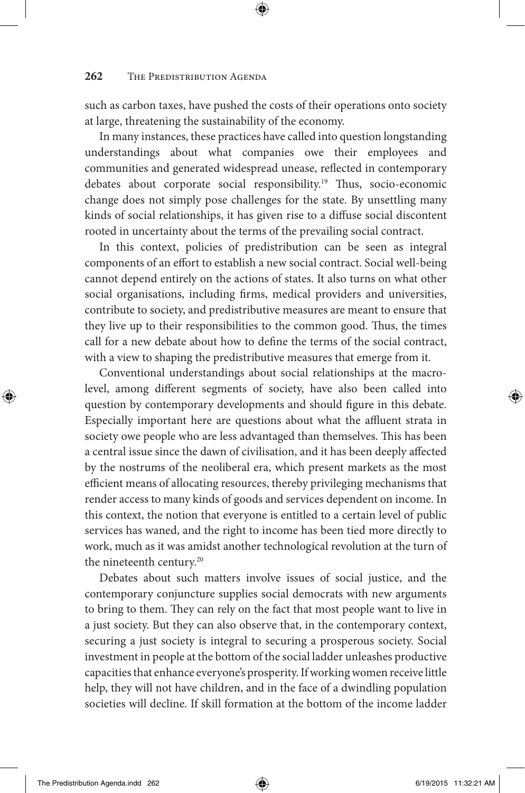such as carbon taxes, have pushed the costs of their operations onto society at large, threatening the sustainability of the economy.

In many instances, these practices have called into question longstanding understandings about what companies owe their employees and communities and generated widespread unease, reflected in contemporary debates about corporate social responsibility.19 Thus, socio-economic change does not simply pose challenges for the state. By unsettling many kinds of social relationships, it has given rise to a diffuse social discontent rooted in uncertainty about the terms of the prevailing social contract.

In this context, policies of predistribution can be seen as integral components of an effort to establish a new social contract. Social well-being cannot depend entirely on the actions of states. It also turns on what other social organisations, including firms, medical providers and universities, contribute to society, and predistributive measures are meant to ensure that they live up to their responsibilities to the common good. Thus, the times call for a new debate about how to define the terms of the social contract, with a view to shaping the predistributive measures that emerge from it.

Conventional understandings about social relationships at the macrolevel, among different segments of society, have also been called into question by contemporary developments and should figure in this debate. Especially important here are questions about what the affluent strata in society owe people who are less advantaged than themselves. This has been a central issue since the dawn of civilisation, and it has been deeply affected by the nostrums of the neoliberal era, which present markets as the most efficient means of allocating resources, thereby privileging mechanisms that render access to many kinds of goods and services dependent on income. In this context, the notion that everyone is entitled to a certain level of public services has waned, and the right to income has been tied more directly to work, much as it was amidst another technological revolution at the turn of the nineteenth century.20

Debates about such matters involve issues of social justice, and the contemporary conjuncture supplies social democrats with new arguments to bring to them. They can rely on the fact that most people want to live in a just society. But they can also observe that, in the contemporary context, securing a just society is integral to securing a prosperous society. Social investment in people at the bottom of the social ladder unleashes productive capacities that enhance everyone's prosperity. If working women receive little help, they will not have children, and in the face of a dwindling population societies will decline. If skill formation at the bottom of the income ladder

The Predistribution Agenda.indd 262 6/19/2015 11:32:21 AM

◈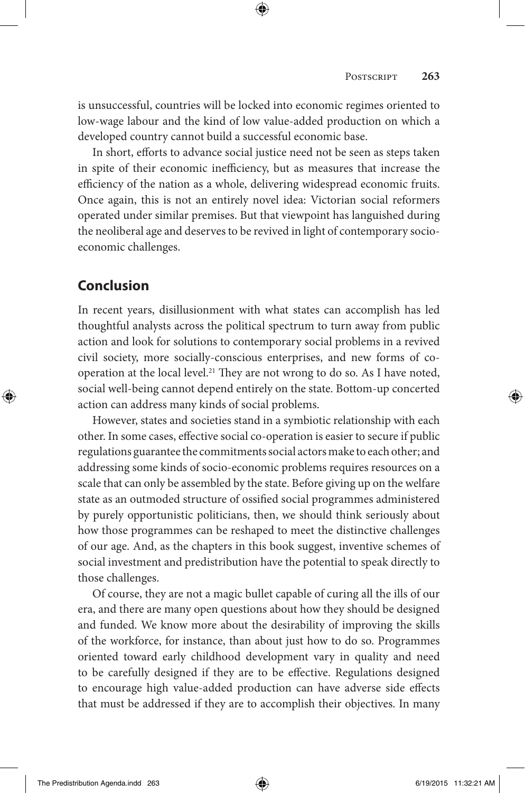is unsuccessful, countries will be locked into economic regimes oriented to low-wage labour and the kind of low value-added production on which a developed country cannot build a successful economic base.

⊕

In short, efforts to advance social justice need not be seen as steps taken in spite of their economic inefficiency, but as measures that increase the efficiency of the nation as a whole, delivering widespread economic fruits. Once again, this is not an entirely novel idea: Victorian social reformers operated under similar premises. But that viewpoint has languished during the neoliberal age and deserves to be revived in light of contemporary socioeconomic challenges.

## **Conclusion**

◈

In recent years, disillusionment with what states can accomplish has led thoughtful analysts across the political spectrum to turn away from public action and look for solutions to contemporary social problems in a revived civil society, more socially-conscious enterprises, and new forms of cooperation at the local level.21 They are not wrong to do so. As I have noted, social well-being cannot depend entirely on the state. Bottom-up concerted action can address many kinds of social problems.

However, states and societies stand in a symbiotic relationship with each other. In some cases, effective social co-operation is easier to secure if public regulations guarantee the commitments social actors make to each other; and addressing some kinds of socio-economic problems requires resources on a scale that can only be assembled by the state. Before giving up on the welfare state as an outmoded structure of ossified social programmes administered by purely opportunistic politicians, then, we should think seriously about how those programmes can be reshaped to meet the distinctive challenges of our age. And, as the chapters in this book suggest, inventive schemes of social investment and predistribution have the potential to speak directly to those challenges.

Of course, they are not a magic bullet capable of curing all the ills of our era, and there are many open questions about how they should be designed and funded. We know more about the desirability of improving the skills of the workforce, for instance, than about just how to do so. Programmes oriented toward early childhood development vary in quality and need to be carefully designed if they are to be effective. Regulations designed to encourage high value-added production can have adverse side effects that must be addressed if they are to accomplish their objectives. In many

The Predistribution Agenda.indd 263 6/19/2015 11:32:21 AM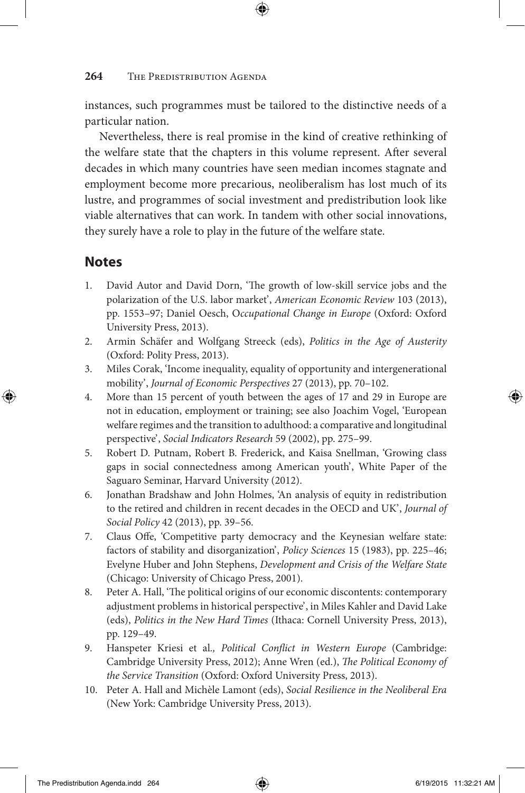instances, such programmes must be tailored to the distinctive needs of a particular nation.

⊕

Nevertheless, there is real promise in the kind of creative rethinking of the welfare state that the chapters in this volume represent. After several decades in which many countries have seen median incomes stagnate and employment become more precarious, neoliberalism has lost much of its lustre, and programmes of social investment and predistribution look like viable alternatives that can work. In tandem with other social innovations, they surely have a role to play in the future of the welfare state.

## **Notes**

◈

- 1. David Autor and David Dorn, 'The growth of low-skill service jobs and the polarization of the U.S. labor market', *American Economic Review* 103 (2013), pp. 1553–97; Daniel Oesch, O*ccupational Change in Europe* (Oxford: Oxford University Press, 2013).
- 2. Armin Schäfer and Wolfgang Streeck (eds), *Politics in the Age of Austerity* (Oxford: Polity Press, 2013).
- 3. Miles Corak, 'Income inequality, equality of opportunity and intergenerational mobility', *Journal of Economic Perspectives* 27 (2013), pp. 70–102.
- 4. More than 15 percent of youth between the ages of 17 and 29 in Europe are not in education, employment or training; see also Joachim Vogel, 'European welfare regimes and the transition to adulthood: a comparative and longitudinal perspective', *Social Indicators Research* 59 (2002), pp. 275–99.
- 5. Robert D. Putnam, Robert B. Frederick, and Kaisa Snellman, 'Growing class gaps in social connectedness among American youth', White Paper of the Saguaro Seminar, Harvard University (2012).
- 6. Jonathan Bradshaw and John Holmes, 'An analysis of equity in redistribution to the retired and children in recent decades in the OECD and UK', *Journal of Social Policy* 42 (2013), pp. 39–56.
- 7. Claus Offe, 'Competitive party democracy and the Keynesian welfare state: factors of stability and disorganization', *Policy Sciences* 15 (1983), pp. 225–46; Evelyne Huber and John Stephens, *Development and Crisis of the Welfare State* (Chicago: University of Chicago Press, 2001).
- 8. Peter A. Hall, 'The political origins of our economic discontents: contemporary adjustment problems in historical perspective', in Miles Kahler and David Lake (eds), *Politics in the New Hard Times* (Ithaca: Cornell University Press, 2013), pp. 129–49.
- 9. Hanspeter Kriesi et al*., Political Conflict in Western Europe* (Cambridge: Cambridge University Press, 2012); Anne Wren (ed.), *The Political Economy of the Service Transition* (Oxford: Oxford University Press, 2013).
- 10. Peter A. Hall and Michèle Lamont (eds), *Social Resilience in the Neoliberal Era* (New York: Cambridge University Press, 2013).

The Predistribution Agenda.indd 264 6/19/2015 11:32:21 AM